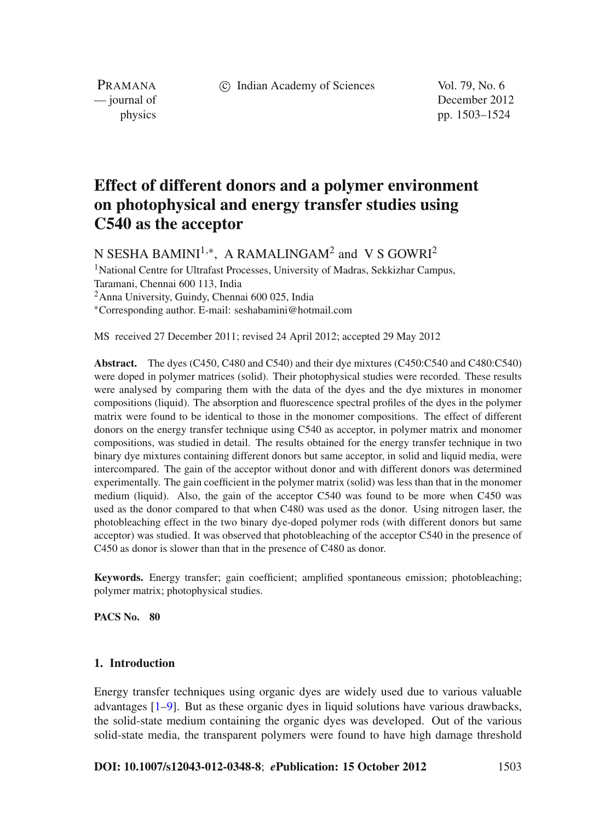c Indian Academy of Sciences Vol. 79, No. 6

PRAMANA

— journal of December 2012 physics pp. 1503–1524

# **Effect of different donors and a polymer environment on photophysical and energy transfer studies using C540 as the acceptor**

N SESHA BAMINI<sup>1,\*</sup>, A RAMALINGAM<sup>2</sup> and V S GOWRI<sup>2</sup>

<sup>1</sup>National Centre for Ultrafast Processes, University of Madras, Sekkizhar Campus, Taramani, Chennai 600 113, India 2Anna University, Guindy, Chennai 600 025, India <sup>∗</sup>Corresponding author. E-mail: seshabamini@hotmail.com

MS received 27 December 2011; revised 24 April 2012; accepted 29 May 2012

**Abstract.** The dyes (C450, C480 and C540) and their dye mixtures (C450:C540 and C480:C540) were doped in polymer matrices (solid). Their photophysical studies were recorded. These results were analysed by comparing them with the data of the dyes and the dye mixtures in monomer compositions (liquid). The absorption and fluorescence spectral profiles of the dyes in the polymer matrix were found to be identical to those in the monomer compositions. The effect of different donors on the energy transfer technique using C540 as acceptor, in polymer matrix and monomer compositions, was studied in detail. The results obtained for the energy transfer technique in two binary dye mixtures containing different donors but same acceptor, in solid and liquid media, were intercompared. The gain of the acceptor without donor and with different donors was determined experimentally. The gain coefficient in the polymer matrix (solid) was less than that in the monomer medium (liquid). Also, the gain of the acceptor C540 was found to be more when C450 was used as the donor compared to that when C480 was used as the donor. Using nitrogen laser, the photobleaching effect in the two binary dye-doped polymer rods (with different donors but same acceptor) was studied. It was observed that photobleaching of the acceptor C540 in the presence of C450 as donor is slower than that in the presence of C480 as donor.

**Keywords.** Energy transfer; gain coefficient; amplified spontaneous emission; photobleaching; polymer matrix; photophysical studies.

**PACS No. 80**

# **1. Introduction**

Energy transfer techniques using organic dyes are widely used due to various valuable advantages [\[1](#page-20-0)[–9](#page-20-1)]. But as these organic dyes in liquid solutions have various drawbacks, the solid-state medium containing the organic dyes was developed. Out of the various solid-state media, the transparent polymers were found to have high damage threshold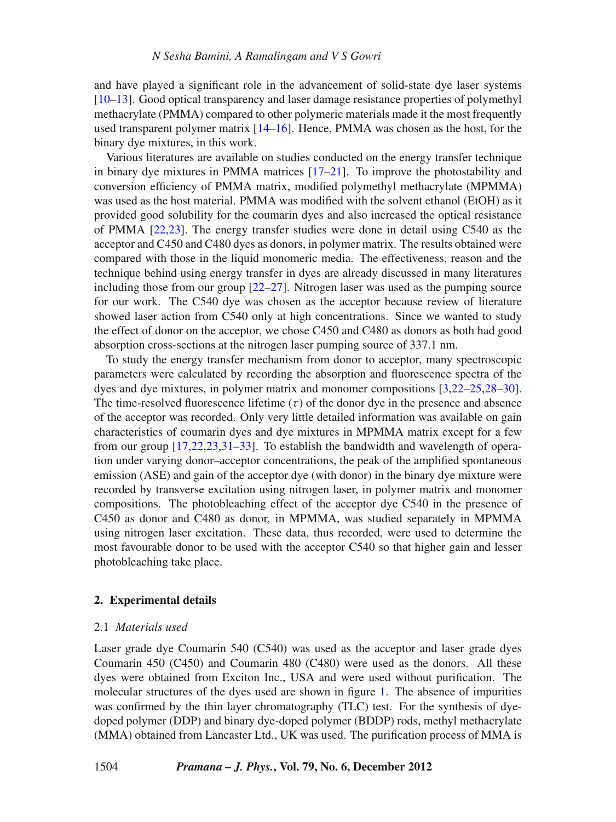and have played a significant role in the advancement of solid-state dye laser systems [\[10](#page-20-2)[–13](#page-21-0)]. Good optical transparency and laser damage resistance properties of polymethyl methacrylate (PMMA) compared to other polymeric materials made it the most frequently used transparent polymer matrix [\[14](#page-21-1)[–16](#page-21-2)]. Hence, PMMA was chosen as the host, for the binary dye mixtures, in this work.

Various literatures are available on studies conducted on the energy transfer technique in binary dye mixtures in PMMA matrices [\[17](#page-21-3)[–21](#page-21-4)]. To improve the photostability and conversion efficiency of PMMA matrix, modified polymethyl methacrylate (MPMMA) was used as the host material. PMMA was modified with the solvent ethanol (EtOH) as it provided good solubility for the coumarin dyes and also increased the optical resistance of PMMA [\[22](#page-21-5)[,23\]](#page-21-6). The energy transfer studies were done in detail using C540 as the acceptor and C450 and C480 dyes as donors, in polymer matrix. The results obtained were compared with those in the liquid monomeric media. The effectiveness, reason and the technique behind using energy transfer in dyes are already discussed in many literatures including those from our group  $[22-27]$  $[22-27]$ . Nitrogen laser was used as the pumping source for our work. The C540 dye was chosen as the acceptor because review of literature showed laser action from C540 only at high concentrations. Since we wanted to study the effect of donor on the acceptor, we chose C450 and C480 as donors as both had good absorption cross-sections at the nitrogen laser pumping source of 337.1 nm.

To study the energy transfer mechanism from donor to acceptor, many spectroscopic parameters were calculated by recording the absorption and fluorescence spectra of the dyes and dye mixtures, in polymer matrix and monomer compositions [\[3](#page-20-3)[,22](#page-21-5)[–25](#page-21-8)[,28](#page-21-9)[–30](#page-21-10)]. The time-resolved fluorescence lifetime  $(\tau)$  of the donor dye in the presence and absence of the acceptor was recorded. Only very little detailed information was available on gain characteristics of coumarin dyes and dye mixtures in MPMMA matrix except for a few from our group [\[17](#page-21-3)[,22](#page-21-5)[,23](#page-21-6)[,31](#page-21-11)[–33](#page-21-12)]. To establish the bandwidth and wavelength of operation under varying donor–acceptor concentrations, the peak of the amplified spontaneous emission (ASE) and gain of the acceptor dye (with donor) in the binary dye mixture were recorded by transverse excitation using nitrogen laser, in polymer matrix and monomer compositions. The photobleaching effect of the acceptor dye C540 in the presence of C450 as donor and C480 as donor, in MPMMA, was studied separately in MPMMA using nitrogen laser excitation. These data, thus recorded, were used to determine the most favourable donor to be used with the acceptor C540 so that higher gain and lesser photobleaching take place.

#### **2. Experimental details**

# 2.1 *Materials used*

Laser grade dye Coumarin 540 (C540) was used as the acceptor and laser grade dyes Coumarin 450 (C450) and Coumarin 480 (C480) were used as the donors. All these dyes were obtained from Exciton Inc., USA and were used without purification. The molecular structures of the dyes used are shown in figure [1.](#page-2-0) The absence of impurities was confirmed by the thin layer chromatography (TLC) test. For the synthesis of dyedoped polymer (DDP) and binary dye-doped polymer (BDDP) rods, methyl methacrylate (MMA) obtained from Lancaster Ltd., UK was used. The purification process of MMA is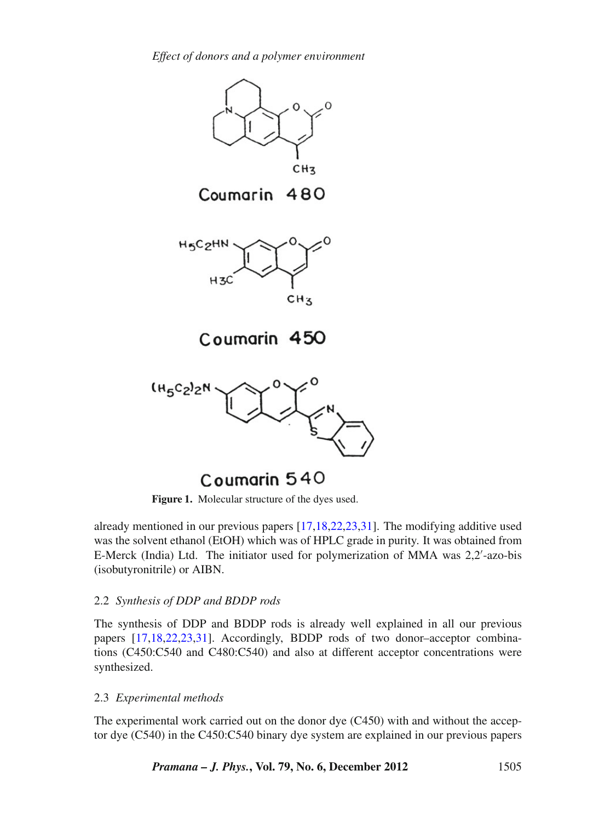*Effect of donors and a polymer en*v*ironment*

<span id="page-2-0"></span>

Coumarin 540

Figure 1. Molecular structure of the dyes used.

already mentioned in our previous papers [\[17](#page-21-3)[,18](#page-21-13)[,22](#page-21-5)[,23](#page-21-6)[,31\]](#page-21-11). The modifying additive used was the solvent ethanol (EtOH) which was of HPLC grade in purity. It was obtained from E-Merck (India) Ltd. The initiator used for polymerization of MMA was 2,2'-azo-bis (isobutyronitrile) or AIBN.

# 2.2 *Synthesis of DDP and BDDP rods*

The synthesis of DDP and BDDP rods is already well explained in all our previous papers [\[17](#page-21-3)[,18](#page-21-13)[,22](#page-21-5)[,23](#page-21-6)[,31](#page-21-11)]. Accordingly, BDDP rods of two donor–acceptor combinations (C450:C540 and C480:C540) and also at different acceptor concentrations were synthesized.

# 2.3 *Experimental methods*

The experimental work carried out on the donor dye (C450) with and without the acceptor dye (C540) in the C450:C540 binary dye system are explained in our previous papers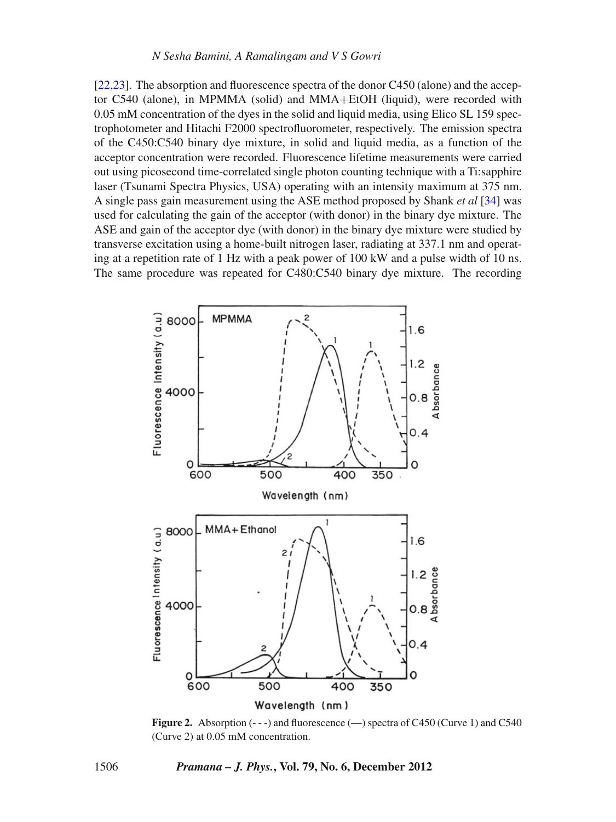[\[22](#page-21-5)[,23\]](#page-21-6). The absorption and fluorescence spectra of the donor C450 (alone) and the acceptor C540 (alone), in MPMMA (solid) and MMA+EtOH (liquid), were recorded with 0.05 mM concentration of the dyes in the solid and liquid media, using Elico SL 159 spectrophotometer and Hitachi F2000 spectrofluorometer, respectively. The emission spectra of the C450:C540 binary dye mixture, in solid and liquid media, as a function of the acceptor concentration were recorded. Fluorescence lifetime measurements were carried out using picosecond time-correlated single photon counting technique with a Ti:sapphire laser (Tsunami Spectra Physics, USA) operating with an intensity maximum at 375 nm. A single pass gain measurement using the ASE method proposed by Shank *et al* [\[34](#page-21-14)] was used for calculating the gain of the acceptor (with donor) in the binary dye mixture. The ASE and gain of the acceptor dye (with donor) in the binary dye mixture were studied by transverse excitation using a home-built nitrogen laser, radiating at 337.1 nm and operating at a repetition rate of 1 Hz with a peak power of 100 kW and a pulse width of 10 ns. The same procedure was repeated for C480:C540 binary dye mixture. The recording

<span id="page-3-0"></span>

**Figure 2.** Absorption (---) and fluorescence (—) spectra of C450 (Curve 1) and C540 (Curve 2) at 0.05 mM concentration.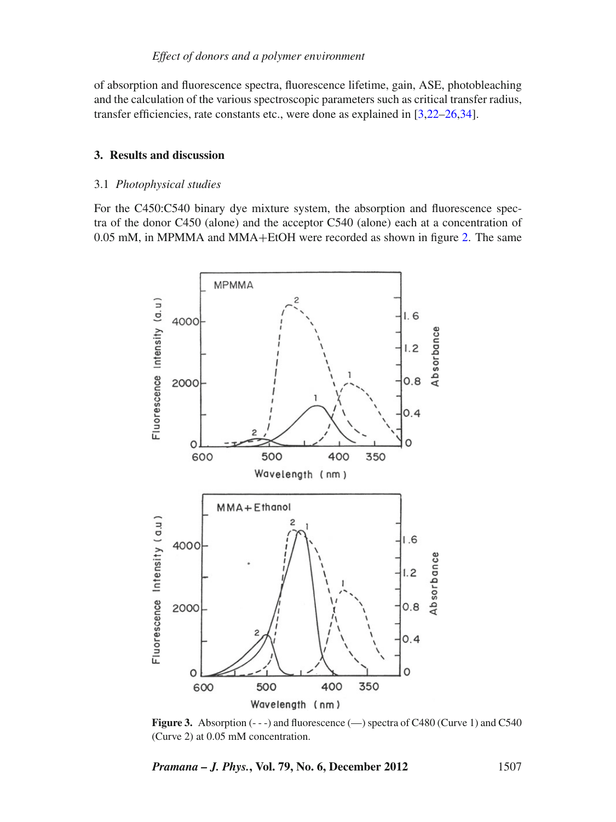of absorption and fluorescence spectra, fluorescence lifetime, gain, ASE, photobleaching and the calculation of the various spectroscopic parameters such as critical transfer radius, transfer efficiencies, rate constants etc., were done as explained in [\[3](#page-20-3)[,22](#page-21-5)[–26](#page-21-15)[,34](#page-21-14)].

# **3. Results and discussion**

# 3.1 *Photophysical studies*

For the C450:C540 binary dye mixture system, the absorption and fluorescence spectra of the donor C450 (alone) and the acceptor C540 (alone) each at a concentration of 0.05 mM, in MPMMA and MMA+EtOH were recorded as shown in figure [2.](#page-3-0) The same

<span id="page-4-0"></span>

Figure 3. Absorption (---) and fluorescence (-) spectra of C480 (Curve 1) and C540 (Curve 2) at 0.05 mM concentration.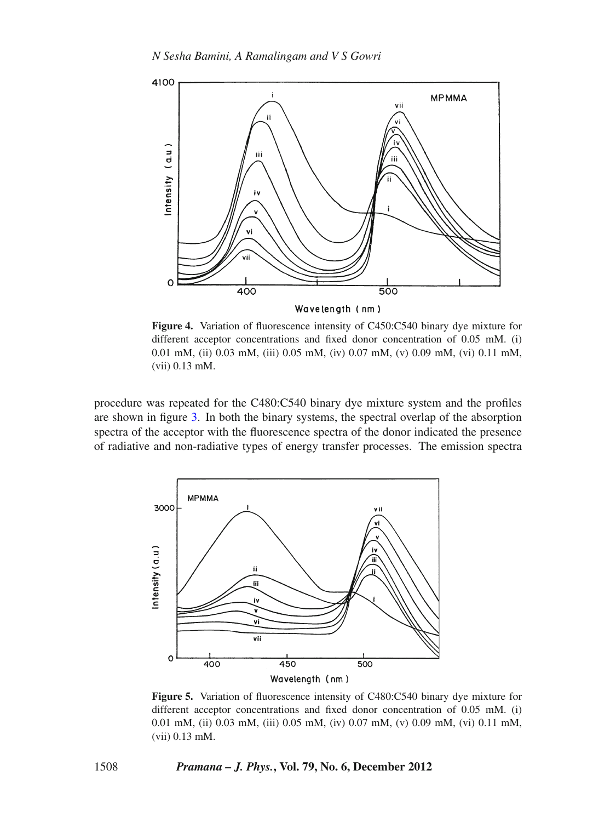<span id="page-5-0"></span>

**Figure 4.** Variation of fluorescence intensity of C450:C540 binary dye mixture for different acceptor concentrations and fixed donor concentration of 0.05 mM. (i) 0.01 mM, (ii) 0.03 mM, (iii) 0.05 mM, (iv) 0.07 mM, (v) 0.09 mM, (vi) 0.11 mM, (vii) 0.13 mM.

procedure was repeated for the C480:C540 binary dye mixture system and the profiles are shown in figure [3.](#page-4-0) In both the binary systems, the spectral overlap of the absorption spectra of the acceptor with the fluorescence spectra of the donor indicated the presence of radiative and non-radiative types of energy transfer processes. The emission spectra

<span id="page-5-1"></span>

**Figure 5.** Variation of fluorescence intensity of C480:C540 binary dye mixture for different acceptor concentrations and fixed donor concentration of 0.05 mM. (i) 0.01 mM, (ii) 0.03 mM, (iii) 0.05 mM, (iv) 0.07 mM, (v) 0.09 mM, (vi) 0.11 mM, (vii) 0.13 mM.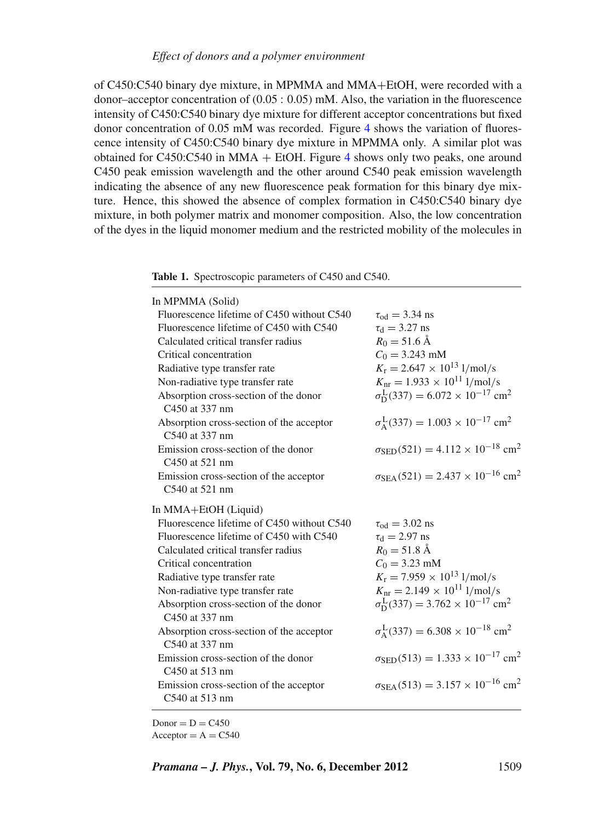of C450:C540 binary dye mixture, in MPMMA and MMA+EtOH, were recorded with a donor–acceptor concentration of  $(0.05: 0.05)$  mM. Also, the variation in the fluorescence intensity of C450:C540 binary dye mixture for different acceptor concentrations but fixed donor concentration of 0.05 mM was recorded. Figure [4](#page-5-0) shows the variation of fluorescence intensity of C450:C540 binary dye mixture in MPMMA only. A similar plot was obtained for C[4](#page-5-0)50:C540 in MMA  $+$  EtOH. Figure 4 shows only two peaks, one around C450 peak emission wavelength and the other around C540 peak emission wavelength indicating the absence of any new fluorescence peak formation for this binary dye mixture. Hence, this showed the absence of complex formation in C450:C540 binary dye mixture, in both polymer matrix and monomer composition. Also, the low concentration of the dyes in the liquid monomer medium and the restricted mobility of the molecules in

<span id="page-6-0"></span>**Table 1.** Spectroscopic parameters of C450 and C540.

| In MPMMA (Solid)                                           |                                                                       |
|------------------------------------------------------------|-----------------------------------------------------------------------|
| Fluorescence lifetime of C450 without C540                 | $\tau_{\text{od}} = 3.34$ ns                                          |
| Fluorescence lifetime of C450 with C540                    | $\tau_d = 3.27$ ns                                                    |
| Calculated critical transfer radius                        | $R_0 = 51.6 \text{ Å}$                                                |
| Critical concentration                                     | $C_0 = 3.243$ mM                                                      |
| Radiative type transfer rate                               | $K_{\rm r} = 2.647 \times 10^{13}$ l/mol/s                            |
| Non-radiative type transfer rate                           | $K_{\text{nr}} = 1.933 \times 10^{11}$ l/mol/s                        |
| Absorption cross-section of the donor<br>C450 at 337 nm    | $\sigma_{\rm D}^{\rm L}(337) = 6.072 \times 10^{-17}$ cm <sup>2</sup> |
| Absorption cross-section of the acceptor<br>C540 at 337 nm | $\sigma_{A}^{L}(337) = 1.003 \times 10^{-17}$ cm <sup>2</sup>         |
| Emission cross-section of the donor<br>C450 at 521 nm      | $\sigma_{\rm SED}(521) = 4.112 \times 10^{-18}$ cm <sup>2</sup>       |
| Emission cross-section of the acceptor                     | $\sigma_{\text{SEA}}(521) = 2.437 \times 10^{-16}$ cm <sup>2</sup>    |
| C540 at 521 nm                                             |                                                                       |
| In MMA+EtOH (Liquid)                                       |                                                                       |
| Fluorescence lifetime of C450 without C540                 | $\tau_{\rm od} = 3.02 \text{ ns}$                                     |
| Fluorescence lifetime of C450 with C540                    | $\tau_{d} = 2.97$ ns                                                  |
| Calculated critical transfer radius                        | $R_0 = 51.8 \text{ Å}$                                                |
| Critical concentration                                     | $C_0 = 3.23$ mM                                                       |
| Radiative type transfer rate                               |                                                                       |
|                                                            | $K_{\rm r} = 7.959 \times 10^{13}$ l/mol/s                            |
| Non-radiative type transfer rate                           | $K_{\text{nr}} = 2.149 \times 10^{11}$ l/mol/s                        |
| Absorption cross-section of the donor<br>C450 at 337 nm    | $\sigma_{\rm D}^{\rm L}(337) = 3.762 \times 10^{-17}$ cm <sup>2</sup> |
| Absorption cross-section of the acceptor<br>C540 at 337 nm | $\sigma_{A}^{L}(337) = 6.308 \times 10^{-18}$ cm <sup>2</sup>         |
| Emission cross-section of the donor<br>C450 at 513 nm      | $\sigma_{\text{SED}}(513) = 1.333 \times 10^{-17}$ cm <sup>2</sup>    |
| Emission cross-section of the acceptor<br>C540 at 513 nm   | $\sigma_{\text{SEA}}(513) = 3.157 \times 10^{-16}$ cm <sup>2</sup>    |

 $Donor = D = C450$  $Acceptor = A = C540$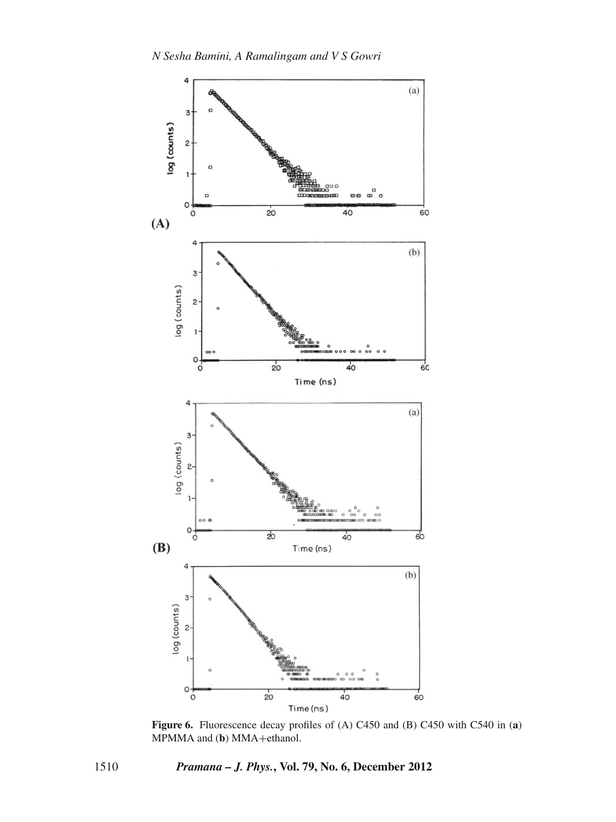<span id="page-7-0"></span>

**Figure 6.** Fluorescence decay profiles of (A) C450 and (B) C450 with C540 in (**a**) MPMMA and (**b**) MMA+ethanol.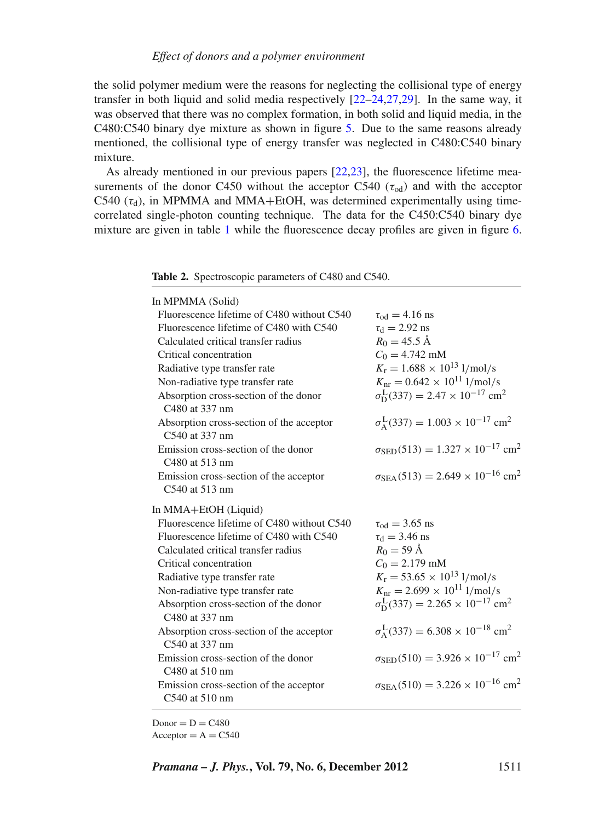the solid polymer medium were the reasons for neglecting the collisional type of energy transfer in both liquid and solid media respectively [\[22](#page-21-5)[–24](#page-21-16)[,27](#page-21-7)[,29\]](#page-21-17). In the same way, it was observed that there was no complex formation, in both solid and liquid media, in the C480:C540 binary dye mixture as shown in figure [5.](#page-5-1) Due to the same reasons already mentioned, the collisional type of energy transfer was neglected in C480:C540 binary mixture.

As already mentioned in our previous papers [\[22](#page-21-5)[,23](#page-21-6)], the fluorescence lifetime measurements of the donor C450 without the acceptor C540 ( $\tau_{\text{od}}$ ) and with the acceptor C540 ( $\tau_d$ ), in MPMMA and MMA+EtOH, was determined experimentally using timecorrelated single-photon counting technique. The data for the C450:C540 binary dye mixture are given in table [1](#page-6-0) while the fluorescence decay profiles are given in figure [6.](#page-7-0)

<span id="page-8-0"></span>**Table 2.** Spectroscopic parameters of C480 and C540.

| In MPMMA (Solid)                                                   |                                                                           |
|--------------------------------------------------------------------|---------------------------------------------------------------------------|
| Fluorescence lifetime of C480 without C540                         | $\tau_{\rm od} = 4.16$ ns                                                 |
| Fluorescence lifetime of C480 with C540                            | $\tau_{\rm d} = 2.92$ ns                                                  |
| Calculated critical transfer radius                                | $R_0 = 45.5 \text{ Å}$                                                    |
| Critical concentration                                             | $C_0 = 4.742$ mM                                                          |
| Radiative type transfer rate                                       | $K_r = 1.688 \times 10^{13}$ l/mol/s                                      |
| Non-radiative type transfer rate                                   | $K_{\text{nr}} = 0.642 \times 10^{11}$ l/mol/s                            |
| Absorption cross-section of the donor<br>C480 at 337 nm            | $\sigma_{\rm D}^{\rm L}(337) = 2.47 \times 10^{-17}$ cm <sup>2</sup>      |
| Absorption cross-section of the acceptor<br>C540 at 337 nm         | $\sigma_{A}^{L}(337) = 1.003 \times 10^{-17}$ cm <sup>2</sup>             |
| Emission cross-section of the donor<br>C480 at 513 nm              | $\sigma_{\text{SED}}(513) = 1.327 \times 10^{-17}$ cm <sup>2</sup>        |
| Emission cross-section of the acceptor<br>C540 at 513 nm           | $\sigma_{\text{SEA}}(513) = 2.649 \times 10^{-16}$ cm <sup>2</sup>        |
|                                                                    |                                                                           |
|                                                                    |                                                                           |
| In MMA+EtOH (Liquid)<br>Fluorescence lifetime of C480 without C540 | $\tau_{\rm od} = 3.65$ ns                                                 |
| Fluorescence lifetime of C480 with C540                            |                                                                           |
| Calculated critical transfer radius                                | $\tau_{\rm d} = 3.46 \text{ ns}$<br>$R_0 = 59 \text{ Å}$                  |
| Critical concentration                                             | $C_0 = 2.179$ mM                                                          |
| Radiative type transfer rate                                       | $K_{\rm r} = 53.65 \times 10^{13}$ l/mol/s                                |
| Non-radiative type transfer rate                                   | $K_{\text{nr}} = 2.699 \times 10^{11}$ l/mol/s                            |
| Absorption cross-section of the donor<br>C480 at 337 nm            | $\sigma_{\rm D}^{\rm L}(337) = 2.265 \times 10^{-17}$ cm <sup>2</sup>     |
| Absorption cross-section of the acceptor<br>C540 at 337 nm         | $\sigma_{A}^{L}(337) = 6.308 \times 10^{-18}$ cm <sup>2</sup>             |
| Emission cross-section of the donor<br>C480 at 510 nm              | $\sigma$ <sub>SED</sub> (510) = 3.926 × 10 <sup>-17</sup> cm <sup>2</sup> |
| Emission cross-section of the acceptor<br>C540 at 510 nm           | $\sigma_{\text{SEA}}(510) = 3.226 \times 10^{-16}$ cm <sup>2</sup>        |

 $Donor = D = C480$  $Acceptor = A = C540$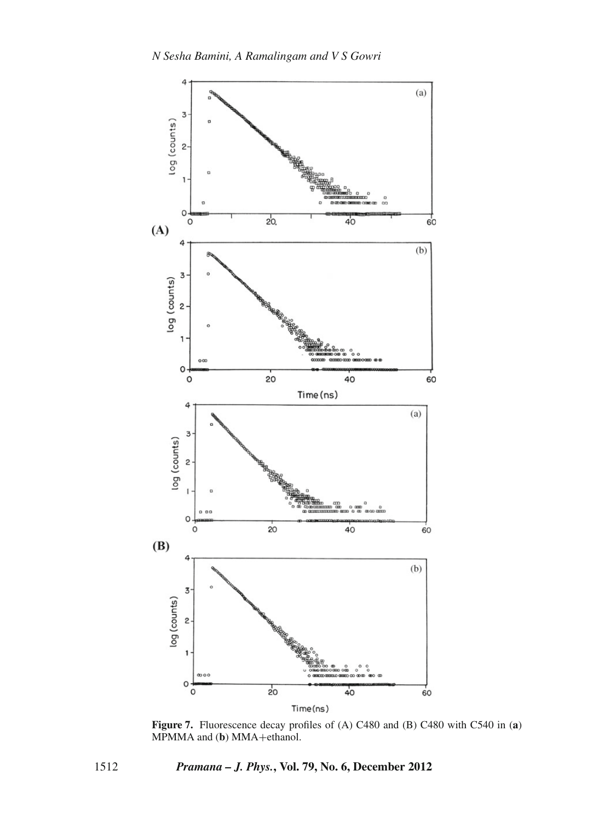<span id="page-9-0"></span>

**Figure 7.** Fluorescence decay profiles of (A) C480 and (B) C480 with C540 in (**a**) MPMMA and (**b**) MMA+ethanol.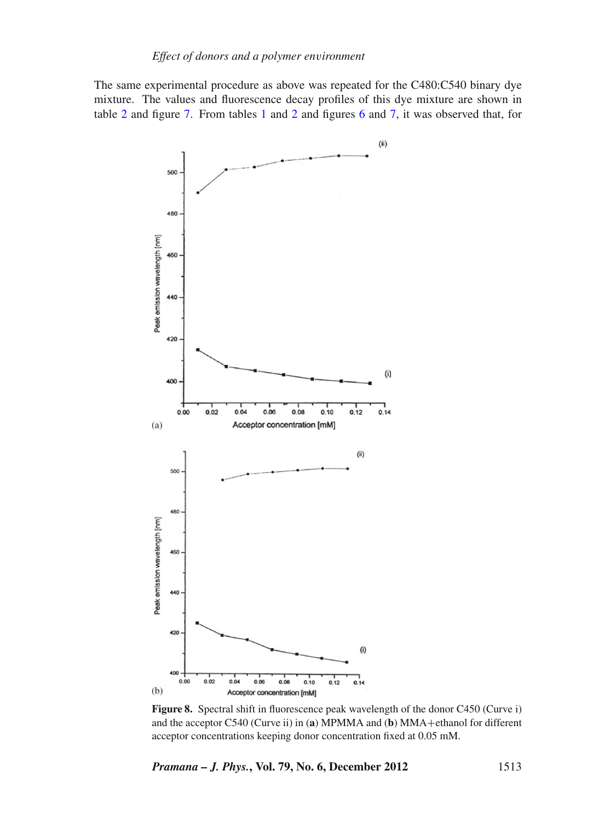The same experimental procedure as above was repeated for the C480:C540 binary dye mixture. The values and fluorescence decay profiles of this dye mixture are shown in table [2](#page-8-0) and figure [7.](#page-9-0) From tables [1](#page-6-0) and [2](#page-8-0) and figures [6](#page-7-0) and [7,](#page-9-0) it was observed that, for

<span id="page-10-0"></span>

**Figure 8.** Spectral shift in fluorescence peak wavelength of the donor C450 (Curve i) and the acceptor C540 (Curve ii) in (a) MPMMA and (b) MMA+ethanol for different acceptor concentrations keeping donor concentration fixed at 0.05 mM.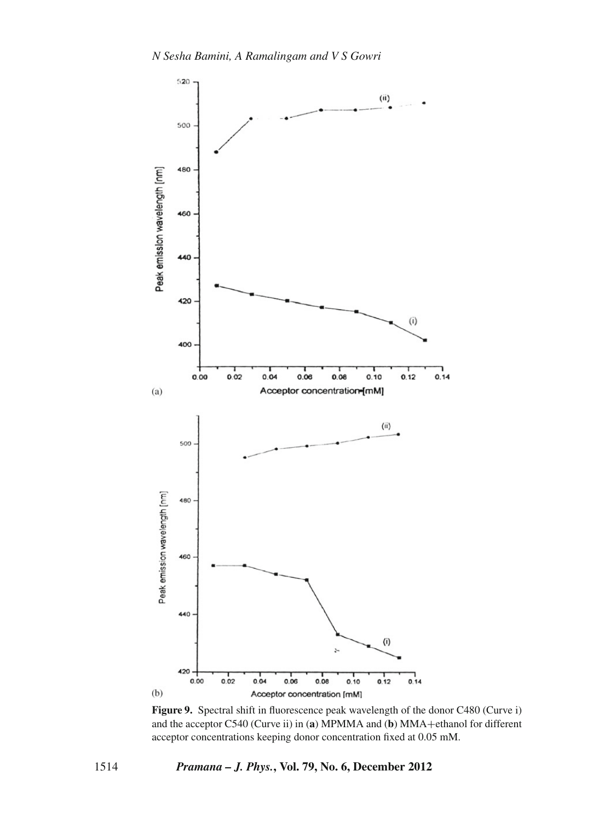<span id="page-11-0"></span>

**Figure 9.** Spectral shift in fluorescence peak wavelength of the donor C480 (Curve i) and the acceptor C540 (Curve ii) in (a) MPMMA and (b) MMA+ethanol for different acceptor concentrations keeping donor concentration fixed at 0.05 mM.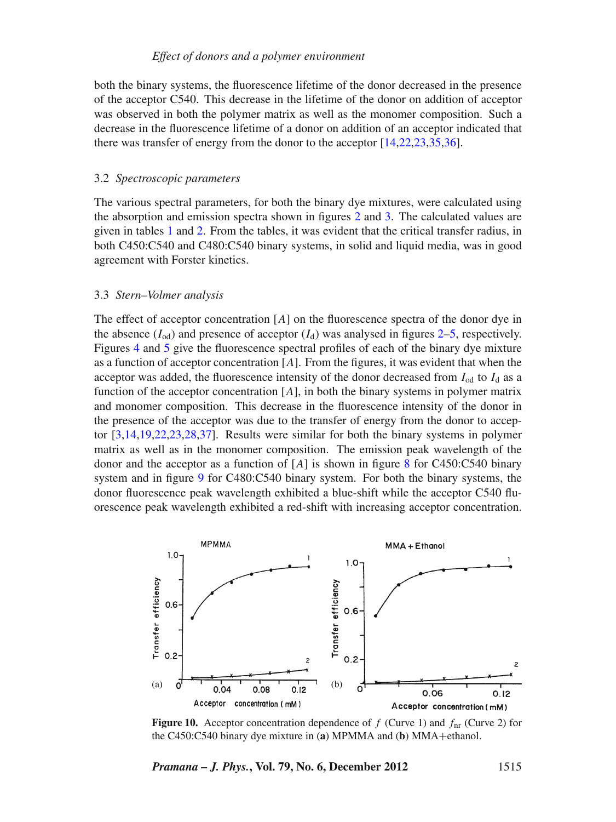both the binary systems, the fluorescence lifetime of the donor decreased in the presence of the acceptor C540. This decrease in the lifetime of the donor on addition of acceptor was observed in both the polymer matrix as well as the monomer composition. Such a decrease in the fluorescence lifetime of a donor on addition of an acceptor indicated that there was transfer of energy from the donor to the acceptor [\[14](#page-21-1)[,22](#page-21-5)[,23](#page-21-6)[,35](#page-21-18)[,36\]](#page-21-19).

#### 3.2 *Spectroscopic parameters*

The various spectral parameters, for both the binary dye mixtures, were calculated using the absorption and emission spectra shown in figures [2](#page-3-0) and [3.](#page-4-0) The calculated values are given in tables [1](#page-6-0) and [2.](#page-8-0) From the tables, it was evident that the critical transfer radius, in both C450:C540 and C480:C540 binary systems, in solid and liquid media, was in good agreement with Forster kinetics.

# 3.3 *Stern–Volmer analysis*

The effect of acceptor concentration [*A*] on the fluorescence spectra of the donor dye in the absence  $(I_{od})$  and presence of acceptor  $(I_d)$  was analysed in figures [2–](#page-3-0)[5,](#page-5-1) respectively. Figures [4](#page-5-0) and [5](#page-5-1) give the fluorescence spectral profiles of each of the binary dye mixture as a function of acceptor concentration [*A*]. From the figures, it was evident that when the acceptor was added, the fluorescence intensity of the donor decreased from  $I_{od}$  to  $I_d$  as a function of the acceptor concentration [*A*], in both the binary systems in polymer matrix and monomer composition. This decrease in the fluorescence intensity of the donor in the presence of the acceptor was due to the transfer of energy from the donor to acceptor [\[3](#page-20-3)[,14](#page-21-1)[,19](#page-21-20)[,22](#page-21-5)[,23](#page-21-6)[,28](#page-21-9)[,37](#page-21-21)]. Results were similar for both the binary systems in polymer matrix as well as in the monomer composition. The emission peak wavelength of the donor and the acceptor as a function of [*A*] is shown in figure [8](#page-10-0) for C450:C540 binary system and in figure [9](#page-11-0) for C480:C540 binary system. For both the binary systems, the donor fluorescence peak wavelength exhibited a blue-shift while the acceptor C540 fluorescence peak wavelength exhibited a red-shift with increasing acceptor concentration.

<span id="page-12-0"></span>

**Figure 10.** Acceptor concentration dependence of  $f$  (Curve 1) and  $f<sub>nr</sub>$  (Curve 2) for the C450:C540 binary dye mixture in (**a**) MPMMA and (**b**) MMA+ethanol.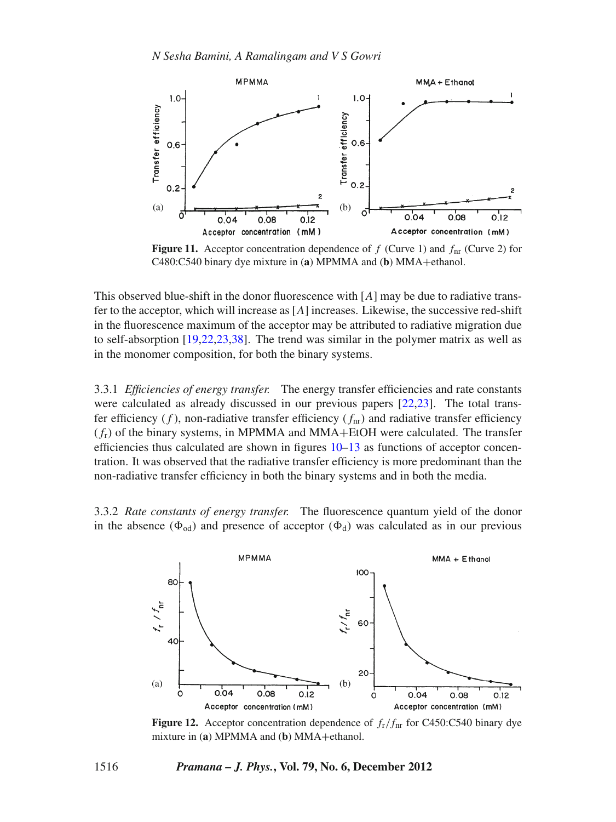

**Figure 11.** Acceptor concentration dependence of  $f$  (Curve 1) and  $f<sub>nr</sub>$  (Curve 2) for C480:C540 binary dye mixture in (**a**) MPMMA and (**b**) MMA+ethanol.

This observed blue-shift in the donor fluorescence with [*A*] may be due to radiative transfer to the acceptor, which will increase as [*A*] increases. Likewise, the successive red-shift in the fluorescence maximum of the acceptor may be attributed to radiative migration due to self-absorption [\[19](#page-21-20)[,22](#page-21-5)[,23](#page-21-6)[,38\]](#page-21-22). The trend was similar in the polymer matrix as well as in the monomer composition, for both the binary systems.

3.3.1 *Efficiencies of energy transfer.* The energy transfer efficiencies and rate constants were calculated as already discussed in our previous papers [\[22](#page-21-5)[,23](#page-21-6)]. The total transfer efficiency  $(f)$ , non-radiative transfer efficiency  $(f<sub>nr</sub>)$  and radiative transfer efficiency  $(f_r)$  of the binary systems, in MPMMA and MMA+EtOH were calculated. The transfer efficiencies thus calculated are shown in figures [10–](#page-12-0)[13](#page-14-0) as functions of acceptor concentration. It was observed that the radiative transfer efficiency is more predominant than the non-radiative transfer efficiency in both the binary systems and in both the media.

3.3.2 *Rate constants of energy transfer.* The fluorescence quantum yield of the donor in the absence ( $\Phi_{od}$ ) and presence of acceptor ( $\Phi_d$ ) was calculated as in our previous



**Figure 12.** Acceptor concentration dependence of  $f_r/f_{nr}$  for C450:C540 binary dye mixture in (**a**) MPMMA and (**b**) MMA+ethanol.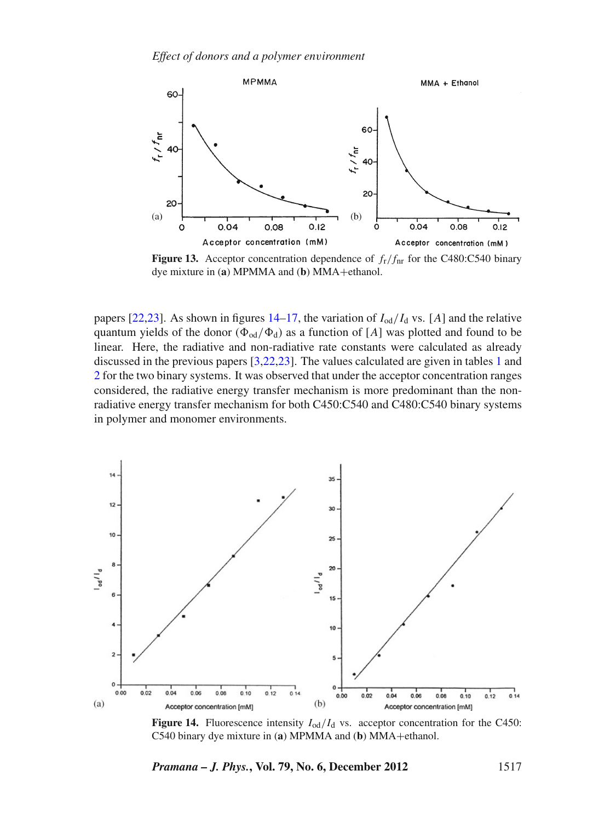<span id="page-14-0"></span>

**Figure 13.** Acceptor concentration dependence of  $f_r/f_{nr}$  for the C480:C540 binary dye mixture in (**a**) MPMMA and (**b**) MMA+ethanol.

papers [\[22](#page-21-5)[,23](#page-21-6)]. As shown in figures  $14-17$ , the variation of  $I_{od}/I_d$  vs. [A] and the relative quantum yields of the donor ( $\Phi_{od}/\Phi_d$ ) as a function of [*A*] was plotted and found to be linear. Here, the radiative and non-radiative rate constants were calculated as already discussed in the previous papers [\[3](#page-20-3)[,22](#page-21-5)[,23](#page-21-6)]. The values calculated are given in tables [1](#page-6-0) and [2](#page-8-0) for the two binary systems. It was observed that under the acceptor concentration ranges considered, the radiative energy transfer mechanism is more predominant than the nonradiative energy transfer mechanism for both C450:C540 and C480:C540 binary systems in polymer and monomer environments.

<span id="page-14-1"></span>

**Figure 14.** Fluorescence intensity  $I_{od}/I_d$  vs. acceptor concentration for the C450: C540 binary dye mixture in (**a**) MPMMA and (**b**) MMA+ethanol.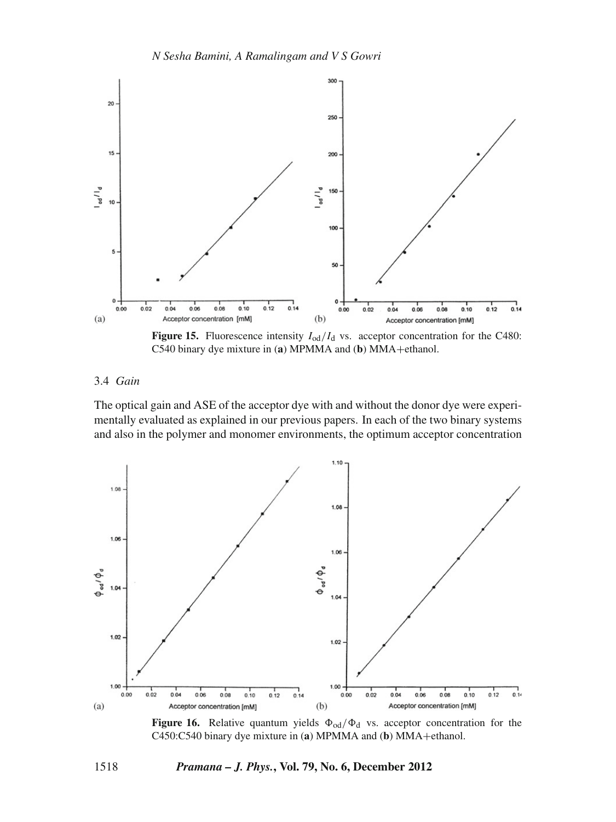

**Figure 15.** Fluorescence intensity  $I_{od}/I_d$  vs. acceptor concentration for the C480: C540 binary dye mixture in (**a**) MPMMA and (**b**) MMA+ethanol.

# 3.4 *Gain*

The optical gain and ASE of the acceptor dye with and without the donor dye were experimentally evaluated as explained in our previous papers. In each of the two binary systems and also in the polymer and monomer environments, the optimum acceptor concentration



**Figure 16.** Relative quantum yields  $\Phi_{od}/\Phi_d$  vs. acceptor concentration for the C450:C540 binary dye mixture in (**a**) MPMMA and (**b**) MMA+ethanol.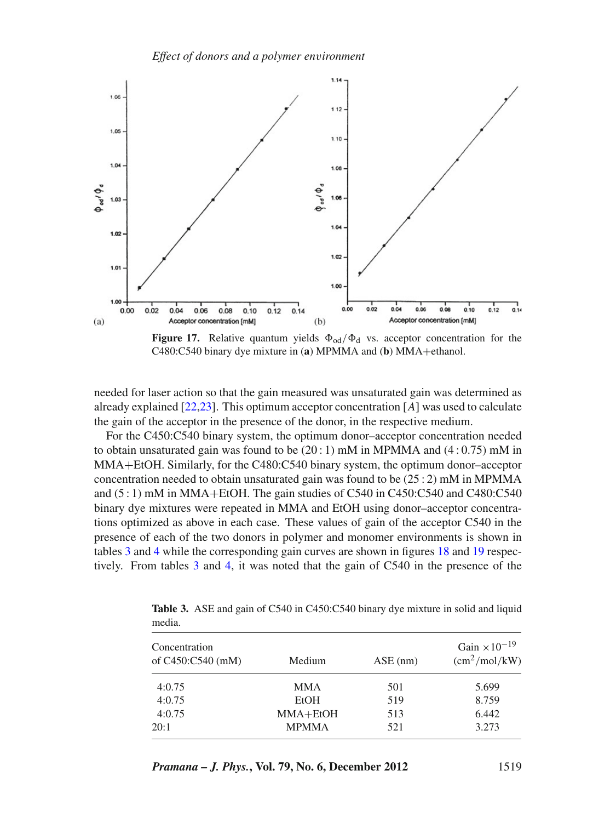*Effect of donors and a polymer en*v*ironment*

<span id="page-16-0"></span>

**Figure 17.** Relative quantum yields  $\Phi_{od}/\Phi_d$  vs. acceptor concentration for the C480:C540 binary dye mixture in (**a**) MPMMA and (**b**) MMA+ethanol.

needed for laser action so that the gain measured was unsaturated gain was determined as already explained [\[22](#page-21-5)[,23\]](#page-21-6). This optimum acceptor concentration [*A*] was used to calculate the gain of the acceptor in the presence of the donor, in the respective medium.

For the C450:C540 binary system, the optimum donor–acceptor concentration needed to obtain unsaturated gain was found to be  $(20:1)$  mM in MPMMA and  $(4:0.75)$  mM in MMA+EtOH. Similarly, for the C480:C540 binary system, the optimum donor–acceptor concentration needed to obtain unsaturated gain was found to be  $(25:2)$  mM in MPMMA and  $(5:1)$  mM in MMA+EtOH. The gain studies of C540 in C450:C540 and C480:C540 binary dye mixtures were repeated in MMA and EtOH using donor–acceptor concentrations optimized as above in each case. These values of gain of the acceptor C540 in the presence of each of the two donors in polymer and monomer environments is shown in tables [3](#page-16-1) and [4](#page-17-0) while the corresponding gain curves are shown in figures [18](#page-17-1) and [19](#page-18-0) respectively. From tables [3](#page-16-1) and [4,](#page-17-0) it was noted that the gain of C540 in the presence of the

| Concentration<br>of C450:C540 (mM) | Medium       | $ASE$ (nm) | Gain $\times 10^{-19}$<br>$\text{cm}^2/\text{mol}/\text{kW}$ |
|------------------------------------|--------------|------------|--------------------------------------------------------------|
| 4:0.75                             | <b>MMA</b>   | 501        | 5.699                                                        |
| 4:0.75                             | EtOH         | 519        | 8.759                                                        |
| 4:0.75                             | $MMA+EtOH$   | 513        | 6.442                                                        |
| 20:1                               | <b>MPMMA</b> | 521        | 3.273                                                        |

<span id="page-16-1"></span>**Table 3.** ASE and gain of C540 in C450:C540 binary dye mixture in solid and liquid media.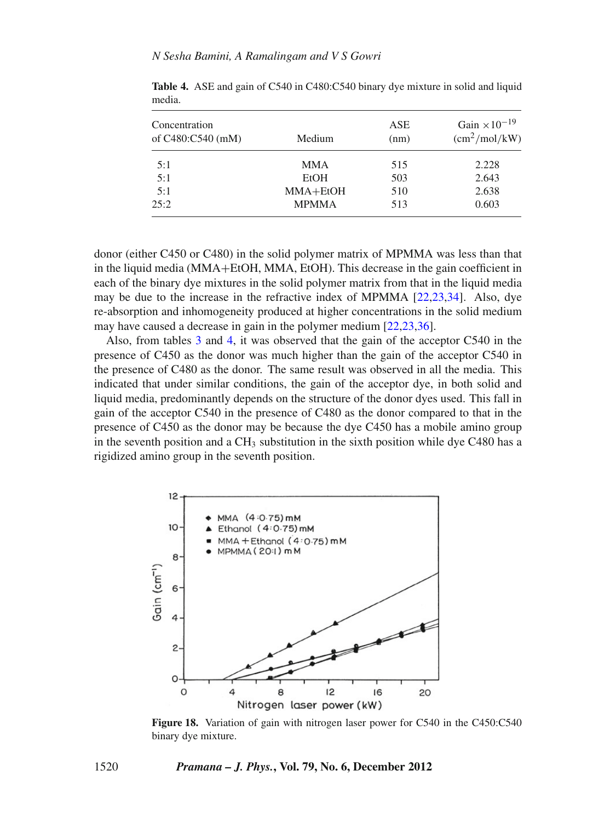| Concentration<br>of C480:C540 (mM) | Medium       | ASE<br>(nm) | Gain $\times 10^{-19}$<br>$\text{cm}^2/\text{mol}/\text{kW}$ |
|------------------------------------|--------------|-------------|--------------------------------------------------------------|
| 5:1                                | <b>MMA</b>   | 515         | 2.228                                                        |
| 5:1                                | EtOH         | 503         | 2.643                                                        |
| 5:1                                | $MMA+EtOH$   | 510         | 2.638                                                        |
| 25:2                               | <b>MPMMA</b> | 513         | 0.603                                                        |

<span id="page-17-0"></span>**Table 4.** ASE and gain of C540 in C480:C540 binary dye mixture in solid and liquid media.

donor (either C450 or C480) in the solid polymer matrix of MPMMA was less than that in the liquid media (MMA+EtOH, MMA, EtOH). This decrease in the gain coefficient in each of the binary dye mixtures in the solid polymer matrix from that in the liquid media may be due to the increase in the refractive index of MPMMA [\[22](#page-21-5)[,23](#page-21-6)[,34](#page-21-14)]. Also, dye re-absorption and inhomogeneity produced at higher concentrations in the solid medium may have caused a decrease in gain in the polymer medium [\[22](#page-21-5)[,23](#page-21-6)[,36\]](#page-21-19).

Also, from tables [3](#page-16-1) and [4,](#page-17-0) it was observed that the gain of the acceptor C540 in the presence of C450 as the donor was much higher than the gain of the acceptor C540 in the presence of C480 as the donor. The same result was observed in all the media. This indicated that under similar conditions, the gain of the acceptor dye, in both solid and liquid media, predominantly depends on the structure of the donor dyes used. This fall in gain of the acceptor C540 in the presence of C480 as the donor compared to that in the presence of C450 as the donor may be because the dye C450 has a mobile amino group in the seventh position and a  $CH_3$  substitution in the sixth position while dye C480 has a rigidized amino group in the seventh position.

<span id="page-17-1"></span>

**Figure 18.** Variation of gain with nitrogen laser power for C540 in the C450:C540 binary dye mixture.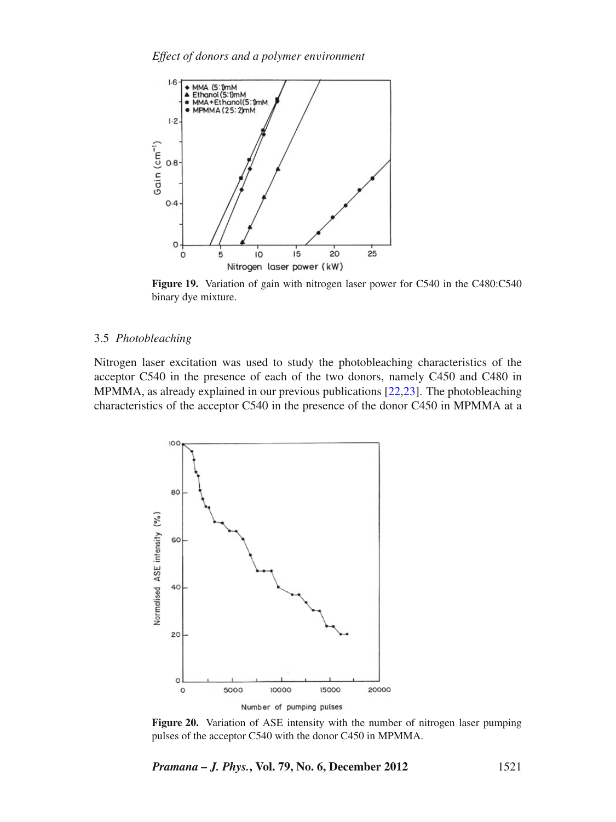<span id="page-18-0"></span>

**Figure 19.** Variation of gain with nitrogen laser power for C540 in the C480:C540 binary dye mixture.

# 3.5 *Photobleaching*

Nitrogen laser excitation was used to study the photobleaching characteristics of the acceptor C540 in the presence of each of the two donors, namely C450 and C480 in MPMMA, as already explained in our previous publications [\[22](#page-21-5)[,23](#page-21-6)]. The photobleaching characteristics of the acceptor C540 in the presence of the donor C450 in MPMMA at a

<span id="page-18-1"></span>

**Figure 20.** Variation of ASE intensity with the number of nitrogen laser pumping pulses of the acceptor C540 with the donor C450 in MPMMA.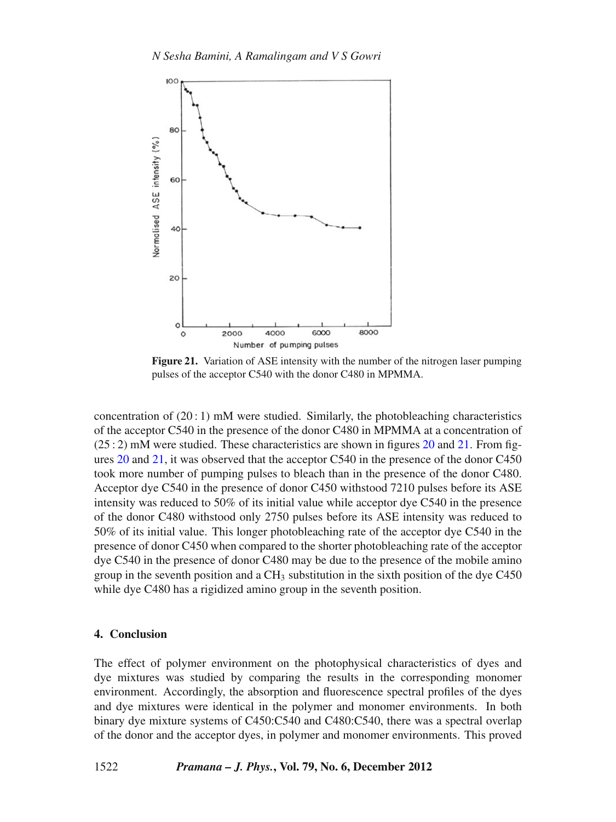<span id="page-19-0"></span>

**Figure 21.** Variation of ASE intensity with the number of the nitrogen laser pumping pulses of the acceptor C540 with the donor C480 in MPMMA.

concentration of  $(20:1)$  mM were studied. Similarly, the photobleaching characteristics of the acceptor C540 in the presence of the donor C480 in MPMMA at a concentration of  $(25:2)$  mM were studied. These characteristics are shown in figures [20](#page-18-1) and [21.](#page-19-0) From figures [20](#page-18-1) and [21,](#page-19-0) it was observed that the acceptor C540 in the presence of the donor C450 took more number of pumping pulses to bleach than in the presence of the donor C480. Acceptor dye C540 in the presence of donor C450 withstood 7210 pulses before its ASE intensity was reduced to 50% of its initial value while acceptor dye C540 in the presence of the donor C480 withstood only 2750 pulses before its ASE intensity was reduced to 50% of its initial value. This longer photobleaching rate of the acceptor dye C540 in the presence of donor C450 when compared to the shorter photobleaching rate of the acceptor dye C540 in the presence of donor C480 may be due to the presence of the mobile amino group in the seventh position and a  $CH_3$  substitution in the sixth position of the dye C450 while dye C480 has a rigidized amino group in the seventh position.

# **4. Conclusion**

The effect of polymer environment on the photophysical characteristics of dyes and dye mixtures was studied by comparing the results in the corresponding monomer environment. Accordingly, the absorption and fluorescence spectral profiles of the dyes and dye mixtures were identical in the polymer and monomer environments. In both binary dye mixture systems of C450:C540 and C480:C540, there was a spectral overlap of the donor and the acceptor dyes, in polymer and monomer environments. This proved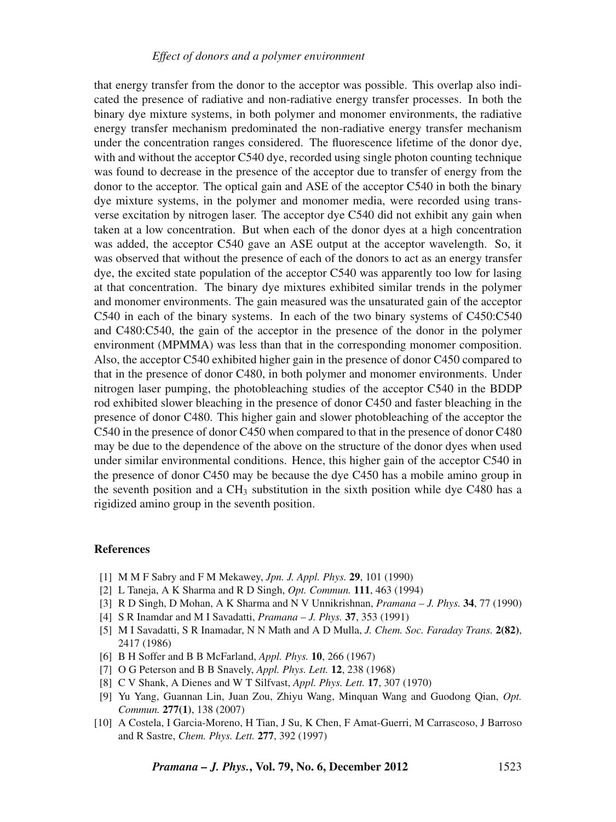# *Effect of donors and a polymer en*v*ironment*

that energy transfer from the donor to the acceptor was possible. This overlap also indicated the presence of radiative and non-radiative energy transfer processes. In both the binary dye mixture systems, in both polymer and monomer environments, the radiative energy transfer mechanism predominated the non-radiative energy transfer mechanism under the concentration ranges considered. The fluorescence lifetime of the donor dye, with and without the acceptor C540 dye, recorded using single photon counting technique was found to decrease in the presence of the acceptor due to transfer of energy from the donor to the acceptor. The optical gain and ASE of the acceptor C540 in both the binary dye mixture systems, in the polymer and monomer media, were recorded using transverse excitation by nitrogen laser. The acceptor dye C540 did not exhibit any gain when taken at a low concentration. But when each of the donor dyes at a high concentration was added, the acceptor C540 gave an ASE output at the acceptor wavelength. So, it was observed that without the presence of each of the donors to act as an energy transfer dye, the excited state population of the acceptor C540 was apparently too low for lasing at that concentration. The binary dye mixtures exhibited similar trends in the polymer and monomer environments. The gain measured was the unsaturated gain of the acceptor C540 in each of the binary systems. In each of the two binary systems of C450:C540 and C480:C540, the gain of the acceptor in the presence of the donor in the polymer environment (MPMMA) was less than that in the corresponding monomer composition. Also, the acceptor C540 exhibited higher gain in the presence of donor C450 compared to that in the presence of donor C480, in both polymer and monomer environments. Under nitrogen laser pumping, the photobleaching studies of the acceptor C540 in the BDDP rod exhibited slower bleaching in the presence of donor C450 and faster bleaching in the presence of donor C480. This higher gain and slower photobleaching of the acceptor the C540 in the presence of donor C450 when compared to that in the presence of donor C480 may be due to the dependence of the above on the structure of the donor dyes when used under similar environmental conditions. Hence, this higher gain of the acceptor C540 in the presence of donor C450 may be because the dye C450 has a mobile amino group in the seventh position and a  $CH_3$  substitution in the sixth position while dye C480 has a rigidized amino group in the seventh position.

# **References**

- <span id="page-20-0"></span>[1] M M F Sabry and F M Mekawey, *Jpn. J. Appl. Phys.* **29**, 101 (1990)
- [2] L Taneja, A K Sharma and R D Singh, *Opt. Commun.* **111**, 463 (1994)
- <span id="page-20-3"></span>[3] R D Singh, D Mohan, A K Sharma and N V Unnikrishnan, *Pramana – J. Phys.* **34**, 77 (1990)
- [4] S R Inamdar and M I Savadatti, *Pramana J. Phys.* **37**, 353 (1991)
- [5] M I Savadatti, S R Inamadar, N N Math and A D Mulla, *J. Chem. Soc. Faraday Trans.* **2(82)**, 2417 (1986)
- [6] B H Soffer and B B McFarland, *Appl. Phys.* **10**, 266 (1967)
- [7] O G Peterson and B B Snavely, *Appl. Phys. Lett.* **12**, 238 (1968)
- [8] C V Shank, A Dienes and W T Silfvast, *Appl. Phys. Lett.* **17**, 307 (1970)
- <span id="page-20-1"></span>[9] Yu Yang, Guannan Lin, Juan Zou, Zhiyu Wang, Minquan Wang and Guodong Qian, *Opt. Commun.* **277(1)**, 138 (2007)
- <span id="page-20-2"></span>[10] A Costela, I Garcia-Moreno, H Tian, J Su, K Chen, F Amat-Guerri, M Carrascoso, J Barroso and R Sastre, *Chem. Phys. Lett.* **277**, 392 (1997)